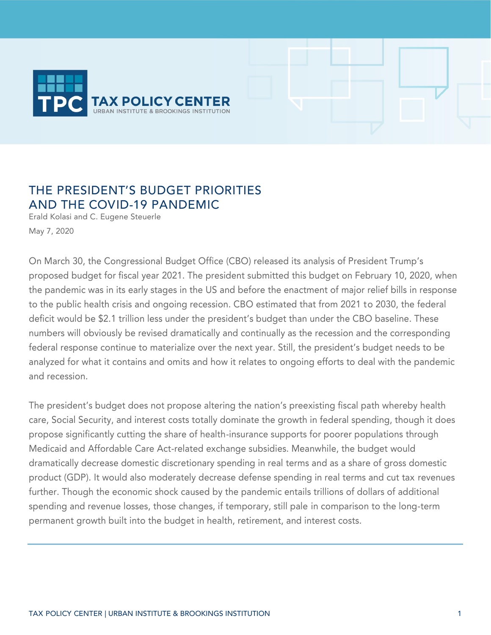

# THE PRESIDENT'S BUDGET PRIORITIES AND THE COVID-19 PANDEMIC

Erald Kolasi and C. Eugene Steuerle May 7, 2020

On March 30, the Congressional Budget Office (CBO) released its analysis of President Trump's proposed budget for fiscal year 2021. The president submitted this budget on February 10, 2020, when the pandemic was in its early stages in the US and before the enactment of major relief bills in response to the public health crisis and ongoing recession. CBO estimated that from 2021 to 2030, the federal deficit would be \$2.1 trillion less under the president's budget than under the CBO baseline. These numbers will obviously be revised dramatically and continually as the recession and the corresponding federal response continue to materialize over the next year. Still, the president's budget needs to be analyzed for what it contains and omits and how it relates to ongoing efforts to deal with the pandemic and recession.

The president's budget does not propose altering the nation's preexisting fiscal path whereby health care, Social Security, and interest costs totally dominate the growth in federal spending, though it does propose significantly cutting the share of health-insurance supports for poorer populations through Medicaid and Affordable Care Act-related exchange subsidies. Meanwhile, the budget would dramatically decrease domestic discretionary spending in real terms and as a share of gross domestic product (GDP). It would also moderately decrease defense spending in real terms and cut tax revenues further. Though the economic shock caused by the pandemic entails trillions of dollars of additional spending and revenue losses, those changes, if temporary, still pale in comparison to the long-term permanent growth built into the budget in health, retirement, and interest costs.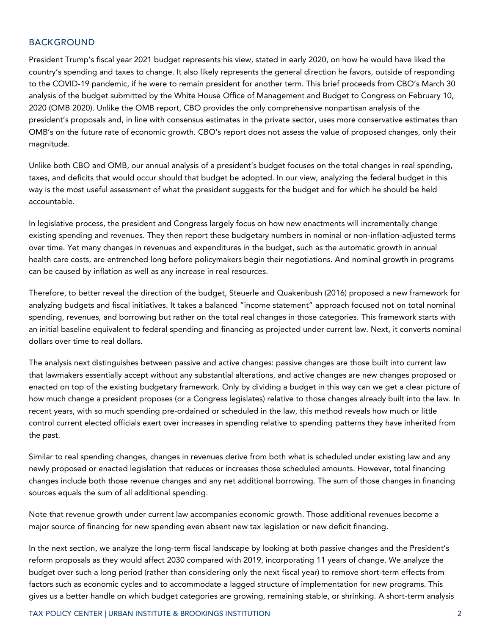# BACKGROUND

President Trump's fiscal year 2021 budget represents his view, stated in early 2020, on how he would have liked the country's spending and taxes to change. It also likely represents the general direction he favors, outside of responding to the COVID-19 pandemic, if he were to remain president for another term. This brief proceeds from CBO's March 30 analysis of the budget submitted by the White House Office of Management and Budget to Congress on February 10, 2020 (OMB 2020). Unlike the OMB report, CBO provides the only comprehensive nonpartisan analysis of the president's proposals and, in line with consensus estimates in the private sector, uses more conservative estimates than OMB's on the future rate of economic growth. CBO's report does not assess the value of proposed changes, only their magnitude.

Unlike both CBO and OMB, our annual analysis of a president's budget focuses on the total changes in real spending, taxes, and deficits that would occur should that budget be adopted. In our view, analyzing the federal budget in this way is the most useful assessment of what the president suggests for the budget and for which he should be held accountable.

In legislative process, the president and Congress largely focus on how new enactments will incrementally change existing spending and revenues. They then report these budgetary numbers in nominal or non-inflation-adjusted terms over time. Yet many changes in revenues and expenditures in the budget, such as the automatic growth in annual health care costs, are entrenched long before policymakers begin their negotiations. And nominal growth in programs can be caused by inflation as well as any increase in real resources.

Therefore, to better reveal the direction of the budget, Steuerle and Quakenbush (2016) proposed a new framework for analyzing budgets and fiscal initiatives. It takes a balanced "income statement" approach focused not on total nominal spending, revenues, and borrowing but rather on the total real changes in those categories. This framework starts with an initial baseline equivalent to federal spending and financing as projected under current law. Next, it converts nominal dollars over time to real dollars.

The analysis next distinguishes between passive and active changes: passive changes are those built into current law that lawmakers essentially accept without any substantial alterations, and active changes are new changes proposed or enacted on top of the existing budgetary framework. Only by dividing a budget in this way can we get a clear picture of how much change a president proposes (or a Congress legislates) relative to those changes already built into the law. In recent years, with so much spending pre-ordained or scheduled in the law, this method reveals how much or little control current elected officials exert over increases in spending relative to spending patterns they have inherited from the past.

Similar to real spending changes, changes in revenues derive from both what is scheduled under existing law and any newly proposed or enacted legislation that reduces or increases those scheduled amounts. However, total financing changes include both those revenue changes and any net additional borrowing. The sum of those changes in financing sources equals the sum of all additional spending.

Note that revenue growth under current law accompanies economic growth. Those additional revenues become a major source of financing for new spending even absent new tax legislation or new deficit financing.

In the next section, we analyze the long-term fiscal landscape by looking at both passive changes and the President's reform proposals as they would affect 2030 compared with 2019, incorporating 11 years of change. We analyze the budget over such a long period (rather than considering only the next fiscal year) to remove short-term effects from factors such as economic cycles and to accommodate a lagged structure of implementation for new programs. This gives us a better handle on which budget categories are growing, remaining stable, or shrinking. A short-term analysis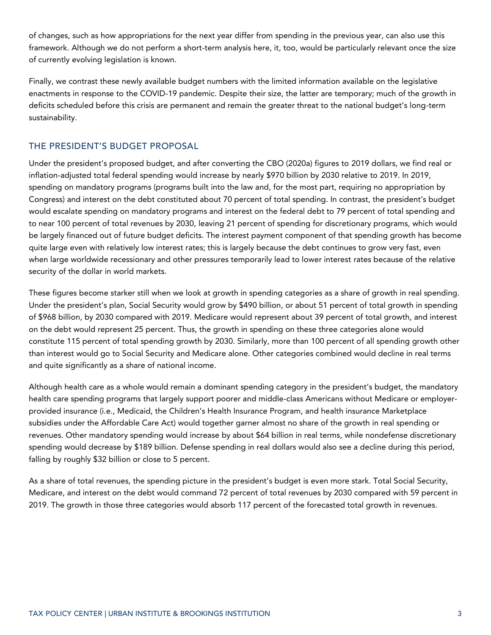of changes, such as how appropriations for the next year differ from spending in the previous year, can also use this framework. Although we do not perform a short-term analysis here, it, too, would be particularly relevant once the size of currently evolving legislation is known.

Finally, we contrast these newly available budget numbers with the limited information available on the legislative enactments in response to the COVID-19 pandemic. Despite their size, the latter are temporary; much of the growth in deficits scheduled before this crisis are permanent and remain the greater threat to the national budget's long-term sustainability.

# THE PRESIDENT'S BUDGET PROPOSAL

Under the president's proposed budget, and after converting the CBO (2020a) figures to 2019 dollars, we find real or inflation-adjusted total federal spending would increase by nearly \$970 billion by 2030 relative to 2019. In 2019, spending on mandatory programs (programs built into the law and, for the most part, requiring no appropriation by Congress) and interest on the debt constituted about 70 percent of total spending. In contrast, the president's budget would escalate spending on mandatory programs and interest on the federal debt to 79 percent of total spending and to near 100 percent of total revenues by 2030, leaving 21 percent of spending for discretionary programs, which would be largely financed out of future budget deficits. The interest payment component of that spending growth has become quite large even with relatively low interest rates; this is largely because the debt continues to grow very fast, even when large worldwide recessionary and other pressures temporarily lead to lower interest rates because of the relative security of the dollar in world markets.

These figures become starker still when we look at growth in spending categories as a share of growth in real spending. Under the president's plan, Social Security would grow by \$490 billion, or about 51 percent of total growth in spending of \$968 billion, by 2030 compared with 2019. Medicare would represent about 39 percent of total growth, and interest on the debt would represent 25 percent. Thus, the growth in spending on these three categories alone would constitute 115 percent of total spending growth by 2030. Similarly, more than 100 percent of all spending growth other than interest would go to Social Security and Medicare alone. Other categories combined would decline in real terms and quite significantly as a share of national income.

Although health care as a whole would remain a dominant spending category in the president's budget, the mandatory health care spending programs that largely support poorer and middle-class Americans without Medicare or employerprovided insurance (i.e., Medicaid, the Children's Health Insurance Program, and health insurance Marketplace subsidies under the Affordable Care Act) would together garner almost no share of the growth in real spending or revenues. Other mandatory spending would increase by about \$64 billion in real terms, while nondefense discretionary spending would decrease by \$189 billion. Defense spending in real dollars would also see a decline during this period, falling by roughly \$32 billion or close to 5 percent.

As a share of total revenues, the spending picture in the president's budget is even more stark. Total Social Security, Medicare, and interest on the debt would command 72 percent of total revenues by 2030 compared with 59 percent in 2019. The growth in those three categories would absorb 117 percent of the forecasted total growth in revenues.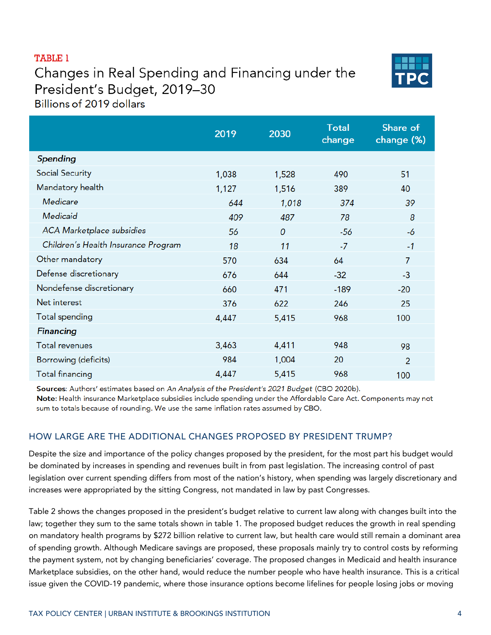# **TABLE 1**

Changes in Real Spending and Financing under the President's Budget, 2019-30 Billions of 2019 dollars



|                                     | 2019  | 2030  | <b>Total</b><br>change | Share of<br>change (%) |
|-------------------------------------|-------|-------|------------------------|------------------------|
| Spending                            |       |       |                        |                        |
| <b>Social Security</b>              | 1,038 | 1,528 | 490                    | 51                     |
| Mandatory health                    | 1,127 | 1,516 | 389                    | 40                     |
| Medicare                            | 644   | 1,018 | 374                    | 39                     |
| Medicaid                            | 409   | 487   | 78                     | 8                      |
| ACA Marketplace subsidies           | 56    | 0     | $-56$                  | -6                     |
| Children's Health Insurance Program | 18    | 11    | $-7$                   | $-1$                   |
| Other mandatory                     | 570   | 634   | 64                     | $\overline{7}$         |
| Defense discretionary               | 676   | 644   | $-32$                  | $-3$                   |
| Nondefense discretionary            | 660   | 471   | $-189$                 | $-20$                  |
| Net interest                        | 376   | 622   | 246                    | 25                     |
| <b>Total spending</b>               | 4,447 | 5,415 | 968                    | 100                    |
| <b>Financing</b>                    |       |       |                        |                        |
| <b>Total revenues</b>               | 3,463 | 4,411 | 948                    | 98                     |
| Borrowing (deficits)                | 984   | 1,004 | 20                     | $\overline{2}$         |
| <b>Total financing</b>              | 4,447 | 5,415 | 968                    | 100                    |

Sources: Authors' estimates based on An Analysis of the President's 2021 Budget (CBO 2020b). Note: Health insurance Marketplace subsidies include spending under the Affordable Care Act. Components may not sum to totals because of rounding. We use the same inflation rates assumed by CBO.

# HOW LARGE ARE THE ADDITIONAL CHANGES PROPOSED BY PRESIDENT TRUMP?

Despite the size and importance of the policy changes proposed by the president, for the most part his budget would be dominated by increases in spending and revenues built in from past legislation. The increasing control of past legislation over current spending differs from most of the nation's history, when spending was largely discretionary and increases were appropriated by the sitting Congress, not mandated in law by past Congresses.

Table 2 shows the changes proposed in the president's budget relative to current law along with changes built into the law; together they sum to the same totals shown in table 1. The proposed budget reduces the growth in real spending on mandatory health programs by \$272 billion relative to current law, but health care would still remain a dominant area of spending growth. Although Medicare savings are proposed, these proposals mainly try to control costs by reforming the payment system, not by changing beneficiaries' coverage. The proposed changes in Medicaid and health insurance Marketplace subsidies, on the other hand, would reduce the number people who have health insurance. This is a critical issue given the COVID-19 pandemic, where those insurance options become lifelines for people losing jobs or moving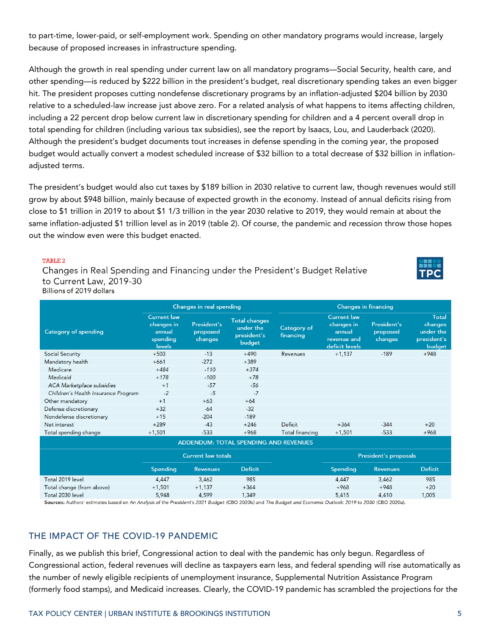to part-time, lower-paid, or self-employment work. Spending on other mandatory programs would increase, largely because of proposed increases in infrastructure spending.

Although the growth in real spending under current law on all mandatory programs—Social Security, health care, and other spending—is reduced by \$222 billion in the president's budget, real discretionary spending takes an even bigger hit. The president proposes cutting nondefense discretionary programs by an inflation-adjusted \$204 billion by 2030 relative to a scheduled-law increase just above zero. For a related analysis of what happens to items affecting children, including a 22 percent drop below current law in discretionary spending for children and a 4 percent overall drop in total spending for children (including various tax subsidies), see the report by Isaacs, Lou, and Lauderback (2020). Although the president's budget documents tout increases in defense spending in the coming year, the proposed budget would actually convert a modest scheduled increase of \$32 billion to a total decrease of \$32 billion in inflationadjusted terms.

The president's budget would also cut taxes by \$189 billion in 2030 relative to current law, though revenues would still grow by about \$948 billion, mainly because of expected growth in the economy. Instead of annual deficits rising from close to \$1 trillion in 2019 to about \$1 1/3 trillion in the year 2030 relative to 2019, they would remain at about the same inflation-adjusted \$1 trillion level as in 2019 (table 2). Of course, the pandemic and recession throw those hopes out the window even were this budget enacted.

#### TABLE<sub>2</sub>

Changes in Real Spending and Financing under the President's Budget Relative to Current Law, 2019-30 Billions of 2019 dollars



|                                       | Changes in real spending                                         |                                           |                                                            | <b>Changes in financing</b> |                                                                             |                                           |                                                               |  |  |  |
|---------------------------------------|------------------------------------------------------------------|-------------------------------------------|------------------------------------------------------------|-----------------------------|-----------------------------------------------------------------------------|-------------------------------------------|---------------------------------------------------------------|--|--|--|
| Category of spending                  | <b>Current law</b><br>changes in<br>annual<br>spending<br>levels | <b>President's</b><br>proposed<br>changes | <b>Total changes</b><br>under the<br>president's<br>budget | Category of<br>financing    | <b>Current law</b><br>changes in<br>annual<br>revenue and<br>deficit levels | <b>President's</b><br>proposed<br>changes | <b>Total</b><br>changes<br>under the<br>president's<br>budget |  |  |  |
| <b>Social Security</b>                | $+503$                                                           | $-13$                                     | $+490$                                                     | Revenues                    | $+1,137$                                                                    | $-189$                                    | $+948$                                                        |  |  |  |
| Mandatory health                      | $+661$                                                           | $-272$                                    | $+389$                                                     |                             |                                                                             |                                           |                                                               |  |  |  |
| Medicare                              | $+484$                                                           | $-110$                                    | $+374$                                                     |                             |                                                                             |                                           |                                                               |  |  |  |
| Medicaid                              | $+178$                                                           | $-100$                                    | $+78$                                                      |                             |                                                                             |                                           |                                                               |  |  |  |
| <b>ACA Marketplace subsidies</b>      | $+1$                                                             | $-57$                                     | -56                                                        |                             |                                                                             |                                           |                                                               |  |  |  |
| Children's Health Insurance Program   | $-2$                                                             | $-5$                                      | $-7$                                                       |                             |                                                                             |                                           |                                                               |  |  |  |
| Other mandatory                       | $+1$                                                             | $+63$                                     | $+64$                                                      |                             |                                                                             |                                           |                                                               |  |  |  |
| Defense discretionary                 | $+32$                                                            | $-64$                                     | $-32$                                                      |                             |                                                                             |                                           |                                                               |  |  |  |
| Nondefense discretionary              | $+15$                                                            | $-204$                                    | $-189$                                                     |                             |                                                                             |                                           |                                                               |  |  |  |
| Net interest                          | $+289$                                                           | $-43$                                     | $+246$                                                     | Deficit                     | $+364$                                                                      | $-344$                                    | $+20$                                                         |  |  |  |
| Total spending change                 | $+1,501$                                                         | $-533$                                    | $+968$                                                     | <b>Total financing</b>      | $+1,501$                                                                    | $-533$                                    | $+968$                                                        |  |  |  |
| ADDENDUM: TOTAL SPENDING AND REVENUES |                                                                  |                                           |                                                            |                             |                                                                             |                                           |                                                               |  |  |  |
|                                       | <b>Current law totals</b>                                        |                                           |                                                            |                             | President's proposals                                                       |                                           |                                                               |  |  |  |
|                                       | Spending                                                         | <b>Revenues</b>                           | <b>Deficit</b>                                             |                             | Spending                                                                    | <b>Revenues</b>                           | <b>Deficit</b>                                                |  |  |  |
| Total 2019 level                      | 4,447                                                            | 3,462                                     | 985                                                        |                             | 4,447                                                                       | 3,462                                     | 985                                                           |  |  |  |
| Total change (from above)             | $+1,501$                                                         | $+1,137$                                  | $+364$                                                     |                             | $+968$                                                                      | $+948$                                    | $+20$                                                         |  |  |  |
| Total 2030 level                      | 5,948                                                            | 4,599                                     | 1,349                                                      |                             | 5,415                                                                       | 4,410                                     | 1,005                                                         |  |  |  |

Sources: Authors' estimates based on An Analysis of the President's 2021 Budget (CBO 2020b) and The Budget and Economic Outlook: 2019 to 2030 (CBO 2020a).

## THE IMPACT OF THE COVID-19 PANDEMIC

Finally, as we publish this brief, Congressional action to deal with the pandemic has only begun. Regardless of Congressional action, federal revenues will decline as taxpayers earn less, and federal spending will rise automatically as the number of newly eligible recipients of unemployment insurance, Supplemental Nutrition Assistance Program (formerly food stamps), and Medicaid increases. Clearly, the COVID-19 pandemic has scrambled the projections for the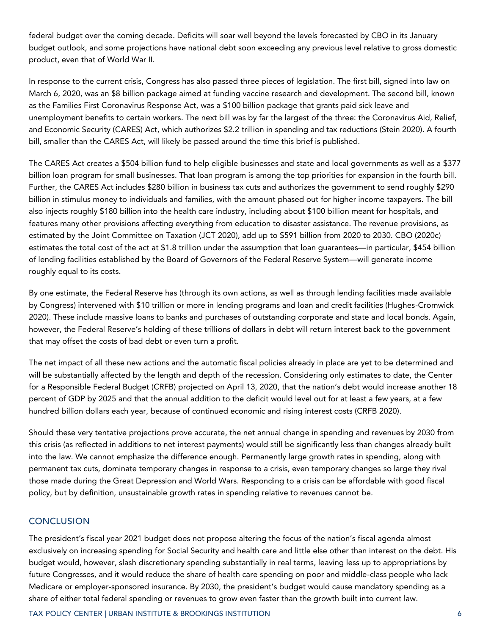federal budget over the coming decade. Deficits will soar well beyond the levels forecasted by CBO in its January budget outlook, and some projections have national debt soon exceeding any previous level relative to gross domestic product, even that of World War II.

In response to the current crisis, Congress has also passed three pieces of legislation. The first bill, signed into law on March 6, 2020, was an \$8 billion package aimed at funding vaccine research and development. The second bill, known as the Families First Coronavirus Response Act, was a \$100 billion package that grants paid sick leave and unemployment benefits to certain workers. The next bill was by far the largest of the three: the Coronavirus Aid, Relief, and Economic Security (CARES) Act, which authorizes \$2.2 trillion in spending and tax reductions (Stein 2020). A fourth bill, smaller than the CARES Act, will likely be passed around the time this brief is published.

The CARES Act creates a \$504 billion fund to help eligible businesses and state and local governments as well as a \$377 billion loan program for small businesses. That loan program is among the top priorities for expansion in the fourth bill. Further, the CARES Act includes \$280 billion in business tax cuts and authorizes the government to send roughly \$290 billion in stimulus money to individuals and families, with the amount phased out for higher income taxpayers. The bill also injects roughly \$180 billion into the health care industry, including about \$100 billion meant for hospitals, and features many other provisions affecting everything from education to disaster assistance. The revenue provisions, as estimated by the Joint Committee on Taxation (JCT 2020), add up to \$591 billion from 2020 to 2030. CBO (2020c) estimates the total cost of the act at \$1.8 trillion under the assumption that loan guarantees—in particular, \$454 billion of lending facilities established by the Board of Governors of the Federal Reserve System—will generate income roughly equal to its costs.

By one estimate, the Federal Reserve has (through its own actions, as well as through lending facilities made available by Congress) intervened with \$10 trillion or more in lending programs and loan and credit facilities (Hughes-Cromwick 2020). These include massive loans to banks and purchases of outstanding corporate and state and local bonds. Again, however, the Federal Reserve's holding of these trillions of dollars in debt will return interest back to the government that may offset the costs of bad debt or even turn a profit.

The net impact of all these new actions and the automatic fiscal policies already in place are yet to be determined and will be substantially affected by the length and depth of the recession. Considering only estimates to date, the Center for a Responsible Federal Budget (CRFB) projected on April 13, 2020, that the nation's debt would increase another 18 percent of GDP by 2025 and that the annual addition to the deficit would level out for at least a few years, at a few hundred billion dollars each year, because of continued economic and rising interest costs (CRFB 2020).

Should these very tentative projections prove accurate, the net annual change in spending and revenues by 2030 from this crisis (as reflected in additions to net interest payments) would still be significantly less than changes already built into the law. We cannot emphasize the difference enough. Permanently large growth rates in spending, along with permanent tax cuts, dominate temporary changes in response to a crisis, even temporary changes so large they rival those made during the Great Depression and World Wars. Responding to a crisis can be affordable with good fiscal policy, but by definition, unsustainable growth rates in spending relative to revenues cannot be.

## **CONCLUSION**

The president's fiscal year 2021 budget does not propose altering the focus of the nation's fiscal agenda almost exclusively on increasing spending for Social Security and health care and little else other than interest on the debt. His budget would, however, slash discretionary spending substantially in real terms, leaving less up to appropriations by future Congresses, and it would reduce the share of health care spending on poor and middle-class people who lack Medicare or employer-sponsored insurance. By 2030, the president's budget would cause mandatory spending as a share of either total federal spending or revenues to grow even faster than the growth built into current law.

TAX POLICY CENTER | URBAN INSTITUTE & BROOKINGS INSTITUTION 6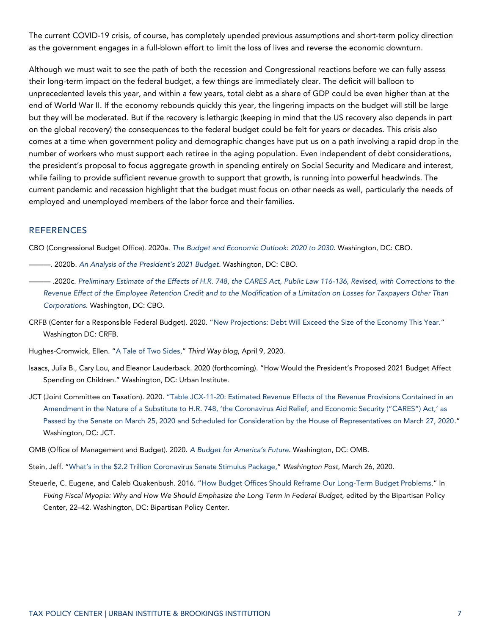The current COVID-19 crisis, of course, has completely upended previous assumptions and short-term policy direction as the government engages in a full-blown effort to limit the loss of lives and reverse the economic downturn.

Although we must wait to see the path of both the recession and Congressional reactions before we can fully assess their long-term impact on the federal budget, a few things are immediately clear. The deficit will balloon to unprecedented levels this year, and within a few years, total debt as a share of GDP could be even higher than at the end of World War II. If the economy rebounds quickly this year, the lingering impacts on the budget will still be large but they will be moderated. But if the recovery is lethargic (keeping in mind that the US recovery also depends in part on the global recovery) the consequences to the federal budget could be felt for years or decades. This crisis also comes at a time when government policy and demographic changes have put us on a path involving a rapid drop in the number of workers who must support each retiree in the aging population. Even independent of debt considerations, the president's proposal to focus aggregate growth in spending entirely on Social Security and Medicare and interest, while failing to provide sufficient revenue growth to support that growth, is running into powerful headwinds. The current pandemic and recession highlight that the budget must focus on other needs as well, particularly the needs of employed and unemployed members of the labor force and their families.

#### **REFERENCES**

CBO (Congressional Budget Office). 2020a. *[The Budget and Economic Outlook: 2020 to 2030](https://www.cbo.gov/system/files/2020-01/56020-CBO-Outlook.pdf)*. Washington, DC: CBO.

- ———. 2020b. *[An](https://www.cbo.gov/system/files/2020-03/56278-CBO-APB-2021.pdf) Analysis of the President's 2021 Budget.* Washington, DC: CBO.
- ——— .2020c. *[Preliminary Estimate of the Effects of H.R. 748, the CARES Act, Public Law 116-136, Revised, with Corrections to the](https://www.cbo.gov/publication/56334)  [Revenue Effect of the Employee Retention Credit and to the Modification of a Limitation on Losses for Taxpayers Other Than](https://www.cbo.gov/publication/56334)  [Corporations](https://www.cbo.gov/publication/56334)*. Washington, DC: CBO.
- CRFB (Center for a Responsible Federal Budget). 2020. "[New Projections: Debt Will Exceed the Size of the Economy This Year](http://www.crfb.org/blogs/new-projections-debt-will-exceed-size-economy-year)." Washington DC: CRFB.
- Hughes-Cromwick, Ellen. "[A Tale of Two Sides](https://www.thirdway.org/blog/a-tale-of-two-sides)," *Third Way blog*, April 9, 2020.
- Isaacs, Julia B., Cary Lou, and Eleanor Lauderback. 2020 (forthcoming). "How Would the President's Proposed 2021 Budget Affect Spending on Children." Washington, DC: Urban Institute.
- JCT (Joint Committee on Taxation). 2020. "[Table JCX-11-20: Estimated Revenue Effects of the Revenue Provisions Contained in an](https://www.jct.gov/publications.html?func=startdown&id=5252)  Amendment in the Nature of a Substitute to H.R. 748, ['the Coronavirus Aid Relief, and Economic Security \("CARES"\) Act,'](https://www.jct.gov/publications.html?func=startdown&id=5252) as [Passed by the Senate on March 25, 2020 and Scheduled for Consideration by the House of Representatives on March 27, 2020](https://www.jct.gov/publications.html?func=startdown&id=5252)." Washington, DC: JCT.
- OMB (Office of Management and Budget). 2020. *[A Budget for America's Future](https://www.whitehouse.gov/wp-content/uploads/2020/02/budget_fy21.pdf)*. Washington, DC: OMB.
- Stein, Jeff. "What's in the \$2.2 [Trillion Coronavirus Senate Stimulus Package,](https://www.washingtonpost.com/business/2020/03/26/senate-stimulus-bill-coronavirus-2-trillion-list-what-is-in-it/)" *Washington Post*, March 26, 2020.
- Steuerle, C. Eugene, and Caleb Quakenbush. 2016. "[How Budget Offices Should Reframe Our Long-Term Budget Problems](https://www.urban.org/research/publication/how-budget-offices-should-reframe-our-long-term-budget-problems)." In Fixing Fiscal Myopia: Why and How We Should Emphasize the Long Term in Federal Budget, edited by the Bipartisan Policy Center, 22–42. Washington, DC: Bipartisan Policy Center.